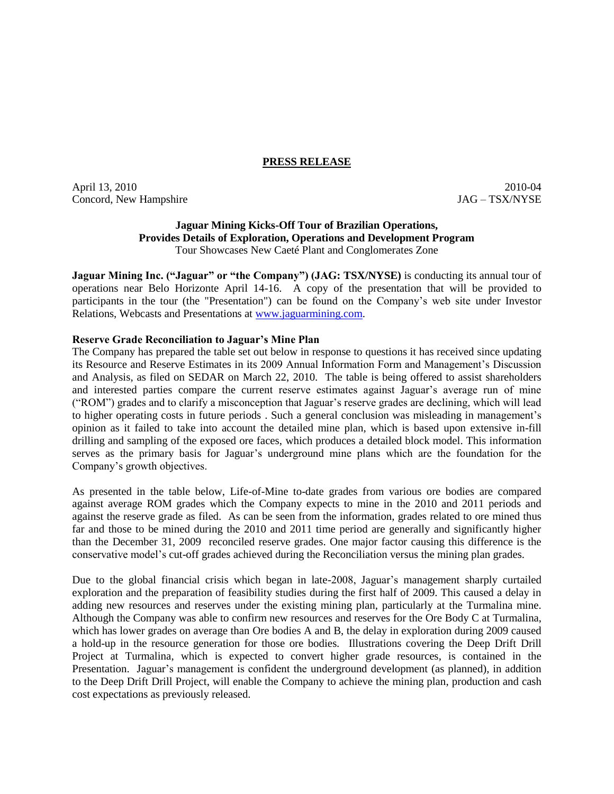### **PRESS RELEASE**

April 13, 2010 2010-04 2010-04 2010-04 2010-04 2010-04 2010-04 2010-04 2010-04 Concord, New Hampshire  $JAG - TSX/NYSE$ 

## **Jaguar Mining Kicks-Off Tour of Brazilian Operations, Provides Details of Exploration, Operations and Development Program**  Tour Showcases New Caeté Plant and Conglomerates Zone

**Jaguar Mining Inc. ("Jaguar" or "the Company") (JAG: TSX/NYSE)** is conducting its annual tour of operations near Belo Horizonte April 14-16. A copy of the presentation that will be provided to participants in the tour (the "Presentation") can be found on the Company's web site under Investor Relations, Webcasts and Presentations at www.jaguarmining.com.

# **Reserve Grade Reconciliation to Jaguar's Mine Plan**

The Company has prepared the table set out below in response to questions it has received since updating its Resource and Reserve Estimates in its 2009 Annual Information Form and Management's Discussion and Analysis, as filed on SEDAR on March 22, 2010. The table is being offered to assist shareholders and interested parties compare the current reserve estimates against Jaguar's average run of mine ("ROM") grades and to clarify a misconception that Jaguar's reserve grades are declining, which will lead to higher operating costs in future periods . Such a general conclusion was misleading in management's opinion as it failed to take into account the detailed mine plan, which is based upon extensive in-fill drilling and sampling of the exposed ore faces, which produces a detailed block model. This information serves as the primary basis for Jaguar's underground mine plans which are the foundation for the Company's growth objectives.

As presented in the table below, Life-of-Mine to-date grades from various ore bodies are compared against average ROM grades which the Company expects to mine in the 2010 and 2011 periods and against the reserve grade as filed. As can be seen from the information, grades related to ore mined thus far and those to be mined during the 2010 and 2011 time period are generally and significantly higher than the December 31, 2009 reconciled reserve grades. One major factor causing this difference is the conservative model's cut-off grades achieved during the Reconciliation versus the mining plan grades.

Due to the global financial crisis which began in late-2008, Jaguar's management sharply curtailed exploration and the preparation of feasibility studies during the first half of 2009. This caused a delay in adding new resources and reserves under the existing mining plan, particularly at the Turmalina mine. Although the Company was able to confirm new resources and reserves for the Ore Body C at Turmalina, which has lower grades on average than Ore bodies A and B, the delay in exploration during 2009 caused a hold-up in the resource generation for those ore bodies. Illustrations covering the Deep Drift Drill Project at Turmalina, which is expected to convert higher grade resources, is contained in the Presentation. Jaguar's management is confident the underground development (as planned), in addition to the Deep Drift Drill Project, will enable the Company to achieve the mining plan, production and cash cost expectations as previously released.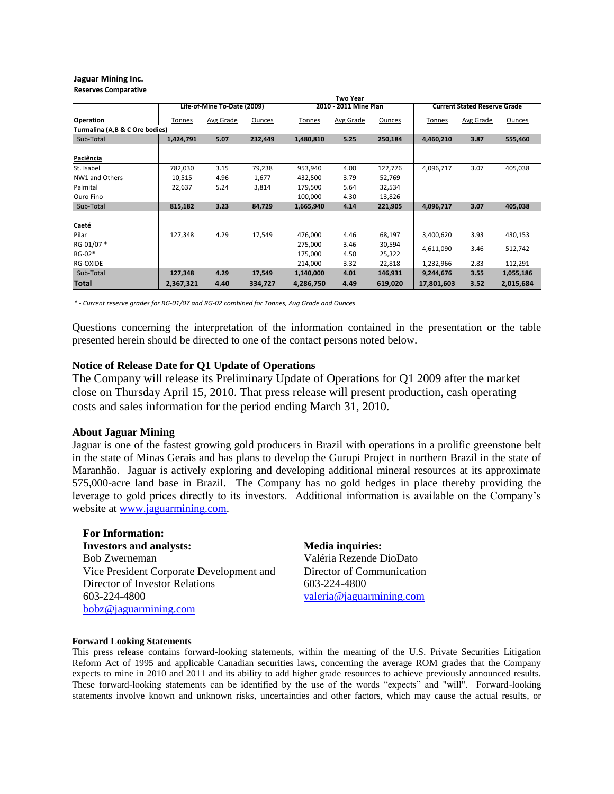#### **Jaguar Mining Inc. Reserves Comparative**

|                                | <b>Two Year</b>             |                  |         |                       |           |               |                                     |           |               |
|--------------------------------|-----------------------------|------------------|---------|-----------------------|-----------|---------------|-------------------------------------|-----------|---------------|
|                                | Life-of-Mine To-Date (2009) |                  |         | 2010 - 2011 Mine Plan |           |               | <b>Current Stated Reserve Grade</b> |           |               |
| Operation                      | Tonnes                      | <b>Avg Grade</b> | Ounces  | Tonnes                | Avg Grade | <b>Ounces</b> | Tonnes                              | Avg Grade | <b>Ounces</b> |
| Turmalina (A,B & C Ore bodies) |                             |                  |         |                       |           |               |                                     |           |               |
| Sub-Total                      | 1,424,791                   | 5.07             | 232,449 | 1,480,810             | 5.25      | 250,184       | 4,460,210                           | 3.87      | 555,460       |
| Paciência                      |                             |                  |         |                       |           |               |                                     |           |               |
| St. Isabel                     | 782,030                     | 3.15             | 79,238  | 953,940               | 4.00      | 122,776       | 4,096,717                           | 3.07      | 405,038       |
| NW1 and Others                 | 10,515                      | 4.96             | 1,677   | 432,500               | 3.79      | 52,769        |                                     |           |               |
| Palmital                       | 22,637                      | 5.24             | 3,814   | 179,500               | 5.64      | 32,534        |                                     |           |               |
| lOuro Fino                     |                             |                  |         | 100,000               | 4.30      | 13,826        |                                     |           |               |
| Sub-Total                      | 815,182                     | 3.23             | 84,729  | 1,665,940             | 4.14      | 221,905       | 4,096,717                           | 3.07      | 405,038       |
| Caeté                          |                             |                  |         |                       |           |               |                                     |           |               |
| Pilar                          | 127,348                     | 4.29             | 17,549  | 476,000               | 4.46      | 68,197        | 3,400,620                           | 3.93      | 430,153       |
| RG-01/07 *                     |                             |                  |         | 275,000               | 3.46      | 30,594        |                                     |           |               |
| RG-02*                         |                             |                  |         | 175,000               | 4.50      | 25,322        | 4,611,090                           | 3.46      | 512,742       |
| RG-OXIDE                       |                             |                  |         | 214,000               | 3.32      | 22,818        | 1,232,966                           | 2.83      | 112,291       |
| Sub-Total                      | 127,348                     | 4.29             | 17,549  | 1,140,000             | 4.01      | 146,931       | 9,244,676                           | 3.55      | 1,055,186     |
| <b>Total</b>                   | 2,367,321                   | 4.40             | 334,727 | 4,286,750             | 4.49      | 619,020       | 17,801,603                          | 3.52      | 2,015,684     |

*\* - Current reserve grades for RG-01/07 and RG-02 combined for Tonnes, Avg Grade and Ounces*

Questions concerning the interpretation of the information contained in the presentation or the table presented herein should be directed to one of the contact persons noted below.

### **Notice of Release Date for Q1 Update of Operations**

The Company will release its Preliminary Update of Operations for Q1 2009 after the market close on Thursday April 15, 2010. That press release will present production, cash operating costs and sales information for the period ending March 31, 2010.

### **About Jaguar Mining**

Jaguar is one of the fastest growing gold producers in Brazil with operations in a prolific greenstone belt in the state of Minas Gerais and has plans to develop the Gurupi Project in northern Brazil in the state of Maranhão. Jaguar is actively exploring and developing additional mineral resources at its approximate 575,000-acre land base in Brazil. The Company has no gold hedges in place thereby providing the leverage to gold prices directly to its investors. Additional information is available on the Company's website at www.jaguarmining.com.

**For Information: Investors and analysts: Media inquiries:** Bob Zwerneman Vice President Corporate Development and Director of Investor Relations 603-224-4800 [bobz@jaguarmining.com](mailto:bobz@jaguarmining.com)

Valéria Rezende DioDato Director of Communication 603-224-4800 valeria@jaguarmining.com

### **Forward Looking Statements**

This press release contains forward-looking statements, within the meaning of the U.S. Private Securities Litigation Reform Act of 1995 and applicable Canadian securities laws, concerning the average ROM grades that the Company expects to mine in 2010 and 2011 and its ability to add higher grade resources to achieve previously announced results. These forward-looking statements can be identified by the use of the words "expects" and "will". Forward-looking statements involve known and unknown risks, uncertainties and other factors, which may cause the actual results, or